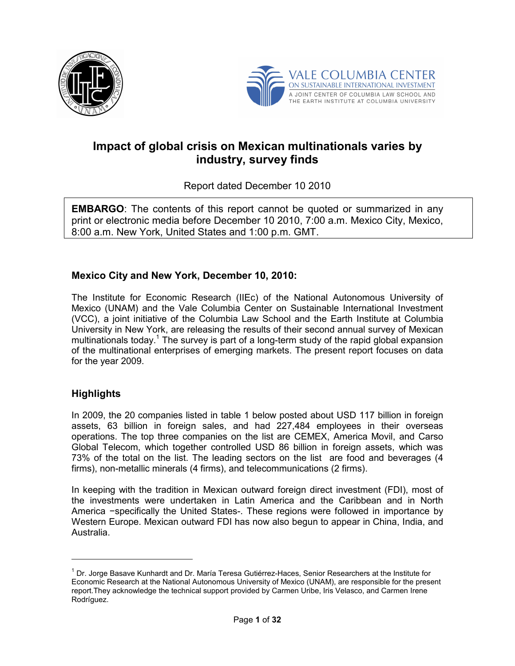



# **Impact of global crisis on Mexican multinationals varies by industry, survey finds**

Report dated December 10 2010

**EMBARGO**: The contents of this report cannot be quoted or summarized in any print or electronic media before December 10 2010, 7:00 a.m. Mexico City, Mexico, 8:00 a.m. New York, United States and 1:00 p.m. GMT.

## **Mexico City and New York, December 10, 2010:**

The Institute for Economic Research (IIEc) of the National Autonomous University of Mexico (UNAM) and the Vale Columbia Center on Sustainable International Investment (VCC), a joint initiative of the Columbia Law School and the Earth Institute at Columbia University in New York, are releasing the results of their second annual survey of Mexican multinationals today.<sup>1</sup> The survey is part of a long-term study of the rapid global expansion of the multinational enterprises of emerging markets. The present report focuses on data for the year 2009.

## **Highlights**

<u>.</u>

In 2009, the 20 companies listed in table 1 below posted about USD 117 billion in foreign assets, 63 billion in foreign sales, and had 227,484 employees in their overseas operations. The top three companies on the list are CEMEX, America Movil, and Carso Global Telecom, which together controlled USD 86 billion in foreign assets, which was 73% of the total on the list. The leading sectors on the list are food and beverages (4 firms), non-metallic minerals (4 firms), and telecommunications (2 firms).

In keeping with the tradition in Mexican outward foreign direct investment (FDI), most of the investments were undertaken in Latin America and the Caribbean and in North America −specifically the United States-. These regions were followed in importance by Western Europe. Mexican outward FDI has now also begun to appear in China, India, and Australia.

<sup>&</sup>lt;sup>1</sup> Dr. Jorge Basave Kunhardt and Dr. María Teresa Gutiérrez-Haces, Senior Researchers at the Institute for Economic Research at the National Autonomous University of Mexico (UNAM), are responsible for the present report.They acknowledge the technical support provided by Carmen Uribe, Iris Velasco, and Carmen Irene Rodríguez.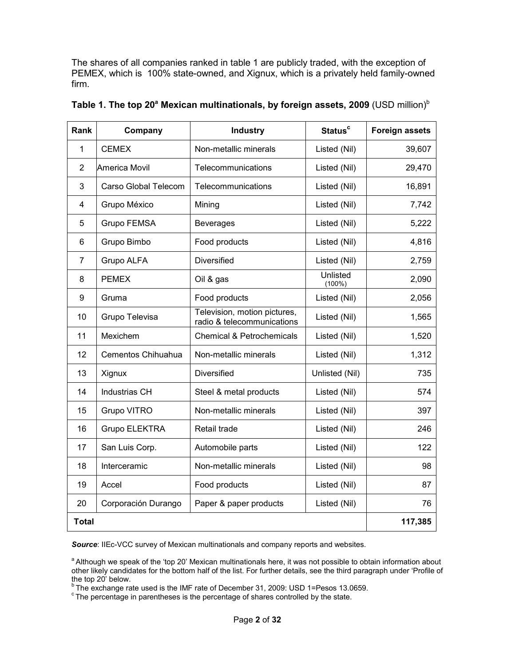The shares of all companies ranked in table 1 are publicly traded, with the exception of PEMEX, which is 100% state-owned, and Xignux, which is a privately held family-owned firm.

| Rank           | Company              | <b>Industry</b>                                            | <b>Status<sup>c</sup></b> | <b>Foreign assets</b> |
|----------------|----------------------|------------------------------------------------------------|---------------------------|-----------------------|
| 1              | <b>CEMEX</b>         | Non-metallic minerals                                      | Listed (Nil)              | 39,607                |
| $\overline{2}$ | America Movil        | Telecommunications                                         | Listed (Nil)              | 29,470                |
| 3              | Carso Global Telecom | Telecommunications                                         | Listed (Nil)              | 16,891                |
| 4              | Grupo México         | Mining                                                     | Listed (Nil)              | 7,742                 |
| 5              | Grupo FEMSA          | <b>Beverages</b>                                           | Listed (Nil)              | 5,222                 |
| 6              | Grupo Bimbo          | Food products                                              | Listed (Nil)              | 4,816                 |
| $\overline{7}$ | Grupo ALFA           | Diversified                                                | Listed (Nil)              | 2,759                 |
| 8              | <b>PEMEX</b>         | Oil & gas                                                  | Unlisted<br>$(100\%)$     | 2,090                 |
| 9              | Gruma                | Food products                                              | Listed (Nil)              | 2,056                 |
| 10             | Grupo Televisa       | Television, motion pictures,<br>radio & telecommunications | Listed (Nil)              | 1,565                 |
| 11             | Mexichem             | <b>Chemical &amp; Petrochemicals</b>                       | Listed (Nil)              | 1,520                 |
| 12             | Cementos Chihuahua   | Non-metallic minerals                                      | Listed (Nil)              | 1,312                 |
| 13             | Xignux               | Diversified                                                | Unlisted (Nil)            | 735                   |
| 14             | Industrias CH        | Steel & metal products                                     | Listed (Nil)              | 574                   |
| 15             | Grupo VITRO          | Non-metallic minerals                                      | Listed (Nil)              | 397                   |
| 16             | <b>Grupo ELEKTRA</b> | Retail trade                                               | Listed (Nil)              | 246                   |
| 17             | San Luis Corp.       | Automobile parts                                           | Listed (Nil)              | 122                   |
| 18             | Interceramic         | Non-metallic minerals                                      | Listed (Nil)              | 98                    |
| 19             | Accel                | Food products                                              | Listed (Nil)              | 87                    |
| 20             | Corporación Durango  | Paper & paper products                                     | Listed (Nil)              | 76                    |
| <b>Total</b>   |                      |                                                            |                           | 117,385               |

| Table 1. The top 20 <sup>a</sup> Mexican multinationals, by foreign assets, 2009 (USD million) <sup>b</sup> |  |  |
|-------------------------------------------------------------------------------------------------------------|--|--|
|-------------------------------------------------------------------------------------------------------------|--|--|

**Source: IIEc-VCC survey of Mexican multinationals and company reports and websites.** 

<sup>a</sup> Although we speak of the 'top 20' Mexican multinationals here, it was not possible to obtain information about other likely candidates for the bottom half of the list. For further details, see the third paragraph under 'Profile of the top 20' below.

bThe exchange rate used is the IMF rate of December 31, 2009: USD 1=Pesos 13.0659.

<sup>c</sup> The percentage in parentheses is the percentage of shares controlled by the state.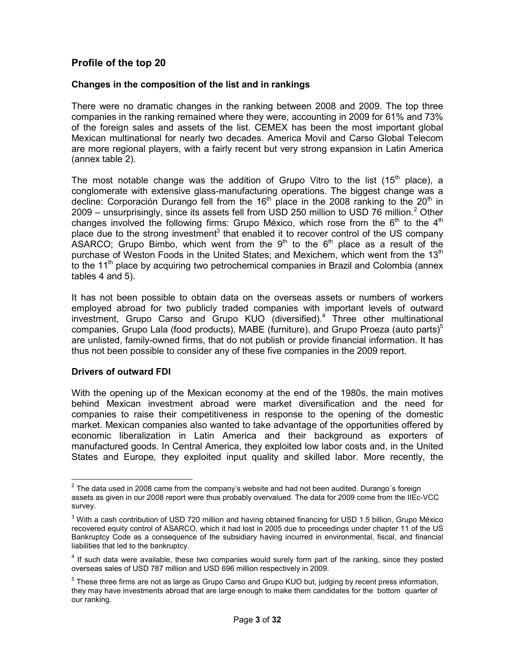## **Profile of the top 20**

## **Changes in the composition of the list and in rankings**

There were no dramatic changes in the ranking between 2008 and 2009. The top three companies in the ranking remained where they were, accounting in 2009 for 61% and 73% of the foreign sales and assets of the list. CEMEX has been the most important global Mexican multinational for nearly two decades. America Movil and Carso Global Telecom are more regional players, with a fairly recent but very strong expansion in Latin America (annex table 2).

The most notable change was the addition of Grupo Vitro to the list (15<sup>th</sup> place), a conglomerate with extensive glass-manufacturing operations. The biggest change was a decline: Corporación Durango fell from the  $16<sup>th</sup>$  place in the 2008 ranking to the  $20<sup>th</sup>$  in 2009 – unsurprisingly, since its assets fell from USD 250 million to USD 76 million.<sup>2</sup> Other changes involved the following firms: Grupo México, which rose from the  $6<sup>th</sup>$  to the  $4<sup>th</sup>$ place due to the strong investment<sup>3</sup> that enabled it to recover control of the US company ASARCO; Grupo Bimbo, which went from the  $9<sup>th</sup>$  to the  $6<sup>th</sup>$  place as a result of the purchase of Weston Foods in the United States; and Mexichem, which went from the  $13<sup>th</sup>$ to the 11<sup>th</sup> place by acquiring two petrochemical companies in Brazil and Colombia (annex tables 4 and 5).

It has not been possible to obtain data on the overseas assets or numbers of workers employed abroad for two publicly traded companies with important levels of outward investment, Grupo Carso and Grupo KUO (diversified).<sup>4</sup> Three other multinational companies, Grupo Lala (food products), MABE (furniture), and Grupo Proeza (auto parts)<sup>5</sup> are unlisted, family-owned firms, that do not publish or provide financial information. It has thus not been possible to consider any of these five companies in the 2009 report.

## **Drivers of outward FDI**

With the opening up of the Mexican economy at the end of the 1980s, the main motives behind Mexican investment abroad were market diversification and the need for companies to raise their competitiveness in response to the opening of the domestic market. Mexican companies also wanted to take advantage of the opportunities offered by economic liberalization in Latin America and their background as exporters of manufactured goods. In Central America, they exploited low labor costs and, in the United States and Europe, they exploited input quality and skilled labor. More recently, the

 $\overline{a}$  $2$  The data used in 2008 came from the company's website and had not been audited. Durango's foreign assets as given in our 2008 report were thus probably overvalued. The data for 2009 come from the IIEc-VCC survey.

 $3$  With a cash contribution of USD 720 million and having obtained financing for USD 1.5 billion, Grupo México recovered equity control of ASARCO, which it had lost in 2005 due to proceedings under chapter 11 of the US Bankruptcy Code as a consequence of the subsidiary having incurred in environmental, fiscal, and financial liabilities that led to the bankruptcy.

<sup>&</sup>lt;sup>4</sup> If such data were available, these two companies would surely form part of the ranking, since they posted overseas sales of USD 787 million and USD 696 million respectively in 2009.

<sup>&</sup>lt;sup>5</sup> These three firms are not as large as Grupo Carso and Grupo KUO but, judging by recent press information, they may have investments abroad that are large enough to make them candidates for the bottom quarter of our ranking.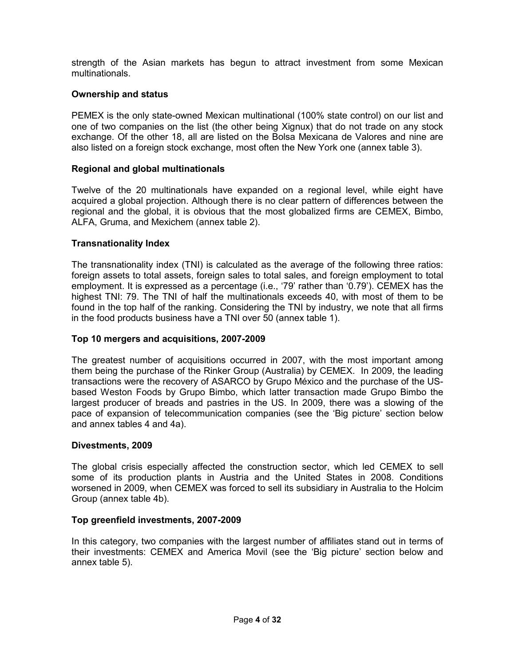strength of the Asian markets has begun to attract investment from some Mexican multinationals.

## **Ownership and status**

PEMEX is the only state-owned Mexican multinational (100% state control) on our list and one of two companies on the list (the other being Xignux) that do not trade on any stock exchange. Of the other 18, all are listed on the Bolsa Mexicana de Valores and nine are also listed on a foreign stock exchange, most often the New York one (annex table 3).

## **Regional and global multinationals**

Twelve of the 20 multinationals have expanded on a regional level, while eight have acquired a global projection. Although there is no clear pattern of differences between the regional and the global, it is obvious that the most globalized firms are CEMEX, Bimbo, ALFA, Gruma, and Mexichem (annex table 2).

## **Transnationality Index**

The transnationality index (TNI) is calculated as the average of the following three ratios: foreign assets to total assets, foreign sales to total sales, and foreign employment to total employment. It is expressed as a percentage (i.e., '79' rather than '0.79'). CEMEX has the highest TNI: 79. The TNI of half the multinationals exceeds 40, with most of them to be found in the top half of the ranking. Considering the TNI by industry, we note that all firms in the food products business have a TNI over 50 (annex table 1).

## **Top 10 mergers and acquisitions, 2007-2009**

The greatest number of acquisitions occurred in 2007, with the most important among them being the purchase of the Rinker Group (Australia) by CEMEX. In 2009, the leading transactions were the recovery of ASARCO by Grupo México and the purchase of the USbased Weston Foods by Grupo Bimbo, which latter transaction made Grupo Bimbo the largest producer of breads and pastries in the US. In 2009, there was a slowing of the pace of expansion of telecommunication companies (see the 'Big picture' section below and annex tables 4 and 4a).

## **Divestments, 2009**

The global crisis especially affected the construction sector, which led CEMEX to sell some of its production plants in Austria and the United States in 2008. Conditions worsened in 2009, when CEMEX was forced to sell its subsidiary in Australia to the Holcim Group (annex table 4b).

## **Top greenfield investments, 2007-2009**

In this category, two companies with the largest number of affiliates stand out in terms of their investments: CEMEX and America Movil (see the 'Big picture' section below and annex table 5).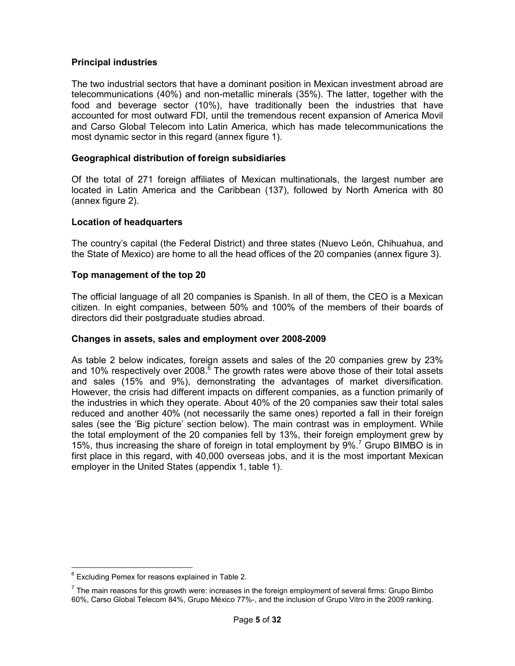## **Principal industries**

The two industrial sectors that have a dominant position in Mexican investment abroad are telecommunications (40%) and non-metallic minerals (35%). The latter, together with the food and beverage sector (10%), have traditionally been the industries that have accounted for most outward FDI, until the tremendous recent expansion of America Movil and Carso Global Telecom into Latin America, which has made telecommunications the most dynamic sector in this regard (annex figure 1).

## **Geographical distribution of foreign subsidiaries**

Of the total of 271 foreign affiliates of Mexican multinationals, the largest number are located in Latin America and the Caribbean (137), followed by North America with 80 (annex figure 2).

## **Location of headquarters**

The country's capital (the Federal District) and three states (Nuevo León, Chihuahua, and the State of Mexico) are home to all the head offices of the 20 companies (annex figure 3).

## **Top management of the top 20**

The official language of all 20 companies is Spanish. In all of them, the CEO is a Mexican citizen. In eight companies, between 50% and 100% of the members of their boards of directors did their postgraduate studies abroad.

## **Changes in assets, sales and employment over 2008-2009**

As table 2 below indicates, foreign assets and sales of the 20 companies grew by 23% and 10% respectively over 2008. $6$  The growth rates were above those of their total assets and sales (15% and 9%), demonstrating the advantages of market diversification. However, the crisis had different impacts on different companies, as a function primarily of the industries in which they operate. About 40% of the 20 companies saw their total sales reduced and another 40% (not necessarily the same ones) reported a fall in their foreign sales (see the 'Big picture' section below). The main contrast was in employment. While the total employment of the 20 companies fell by 13%, their foreign employment grew by 15%, thus increasing the share of foreign in total employment by  $9\%$ .<sup>7</sup> Grupo BIMBO is in first place in this regard, with 40,000 overseas jobs, and it is the most important Mexican employer in the United States (appendix 1, table 1).

 6 Excluding Pemex for reasons explained in Table 2.

 $<sup>7</sup>$  The main reasons for this growth were: increases in the foreign employment of several firms: Grupo Bimbo</sup> 60%, Carso Global Telecom 84%, Grupo México 77%-, and the inclusion of Grupo Vitro in the 2009 ranking.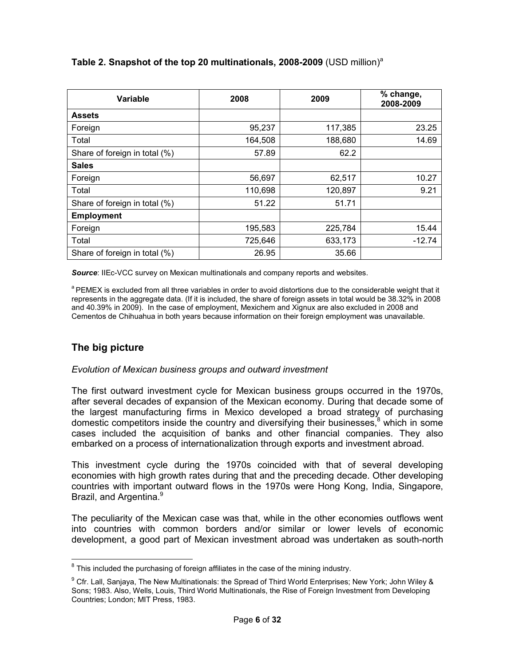| Variable                      | 2008    | 2009    | % change,<br>2008-2009 |
|-------------------------------|---------|---------|------------------------|
| <b>Assets</b>                 |         |         |                        |
| Foreign                       | 95,237  | 117,385 | 23.25                  |
| Total                         | 164,508 | 188,680 | 14.69                  |
| Share of foreign in total (%) | 57.89   | 62.2    |                        |
| <b>Sales</b>                  |         |         |                        |
| Foreign                       | 56,697  | 62,517  | 10.27                  |
| Total                         | 110,698 | 120,897 | 9.21                   |
| Share of foreign in total (%) | 51.22   | 51.71   |                        |
| <b>Employment</b>             |         |         |                        |
| Foreign                       | 195,583 | 225,784 | 15.44                  |
| Total                         | 725,646 | 633,173 | $-12.74$               |
| Share of foreign in total (%) | 26.95   | 35.66   |                        |

## **Table 2. Snapshot of the top 20 multinationals, 2008-2009 (USD million)<sup>a</sup>**

*Source*: IIEc-VCC survey on Mexican multinationals and company reports and websites.

<sup>a</sup> PEMEX is excluded from all three variables in order to avoid distortions due to the considerable weight that it represents in the aggregate data. (If it is included, the share of foreign assets in total would be 38.32% in 2008 and 40.39% in 2009). In the case of employment, Mexichem and Xignux are also excluded in 2008 and Cementos de Chihuahua in both years because information on their foreign employment was unavailable.

## **The big picture**

## *Evolution of Mexican business groups and outward investment*

The first outward investment cycle for Mexican business groups occurred in the 1970s, after several decades of expansion of the Mexican economy. During that decade some of the largest manufacturing firms in Mexico developed a broad strategy of purchasing domestic competitors inside the country and diversifying their businesses,<sup>8</sup> which in some cases included the acquisition of banks and other financial companies. They also embarked on a process of internationalization through exports and investment abroad.

This investment cycle during the 1970s coincided with that of several developing economies with high growth rates during that and the preceding decade. Other developing countries with important outward flows in the 1970s were Hong Kong, India, Singapore, Brazil, and Argentina.<sup>9</sup>

The peculiarity of the Mexican case was that, while in the other economies outflows went into countries with common borders and/or similar or lower levels of economic development, a good part of Mexican investment abroad was undertaken as south-north

 8 This included the purchasing of foreign affiliates in the case of the mining industry.

<sup>&</sup>lt;sup>9</sup> Cfr. Lall, Sanjaya, The New Multinationals: the Spread of Third World Enterprises; New York; John Wiley & Sons; 1983. Also, Wells, Louis, Third World Multinationals, the Rise of Foreign Investment from Developing Countries; London; MIT Press, 1983.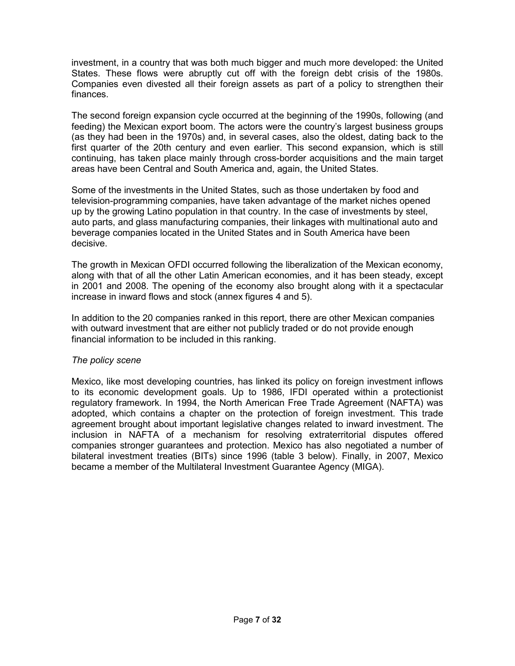investment, in a country that was both much bigger and much more developed: the United States. These flows were abruptly cut off with the foreign debt crisis of the 1980s. Companies even divested all their foreign assets as part of a policy to strengthen their finances.

The second foreign expansion cycle occurred at the beginning of the 1990s, following (and feeding) the Mexican export boom. The actors were the country's largest business groups (as they had been in the 1970s) and, in several cases, also the oldest, dating back to the first quarter of the 20th century and even earlier. This second expansion, which is still continuing, has taken place mainly through cross-border acquisitions and the main target areas have been Central and South America and, again, the United States.

Some of the investments in the United States, such as those undertaken by food and television-programming companies, have taken advantage of the market niches opened up by the growing Latino population in that country. In the case of investments by steel, auto parts, and glass manufacturing companies, their linkages with multinational auto and beverage companies located in the United States and in South America have been decisive.

The growth in Mexican OFDI occurred following the liberalization of the Mexican economy, along with that of all the other Latin American economies, and it has been steady, except in 2001 and 2008. The opening of the economy also brought along with it a spectacular increase in inward flows and stock (annex figures 4 and 5).

In addition to the 20 companies ranked in this report, there are other Mexican companies with outward investment that are either not publicly traded or do not provide enough financial information to be included in this ranking.

## *The policy scene*

Mexico, like most developing countries, has linked its policy on foreign investment inflows to its economic development goals. Up to 1986, IFDI operated within a protectionist regulatory framework. In 1994, the North American Free Trade Agreement (NAFTA) was adopted, which contains a chapter on the protection of foreign investment. This trade agreement brought about important legislative changes related to inward investment. The inclusion in NAFTA of a mechanism for resolving extraterritorial disputes offered companies stronger guarantees and protection. Mexico has also negotiated a number of bilateral investment treaties (BITs) since 1996 (table 3 below). Finally, in 2007, Mexico became a member of the Multilateral Investment Guarantee Agency (MIGA).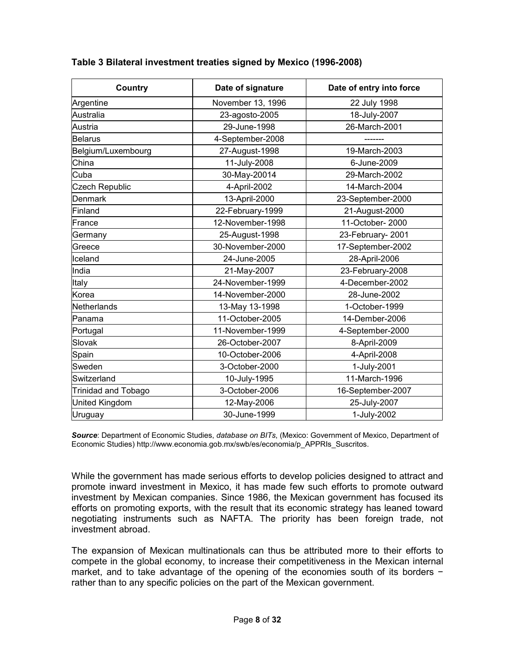| <b>Country</b>        | Date of signature | Date of entry into force |
|-----------------------|-------------------|--------------------------|
| Argentine             | November 13, 1996 | 22 July 1998             |
| Australia             | 23-agosto-2005    | 18-July-2007             |
| Austria               | 29-June-1998      | 26-March-2001            |
| <b>Belarus</b>        | 4-September-2008  |                          |
| Belgium/Luxembourg    | 27-August-1998    | 19-March-2003            |
| China                 | 11-July-2008      | 6-June-2009              |
| Cuba                  | 30-May-20014      | 29-March-2002            |
| <b>Czech Republic</b> | 4-April-2002      | 14-March-2004            |
| Denmark               | 13-April-2000     | 23-September-2000        |
| <b>Finland</b>        | 22-February-1999  | 21-August-2000           |
| France                | 12-November-1998  | 11-October-2000          |
| Germany               | 25-August-1998    | 23-February-2001         |
| Greece                | 30-November-2000  | 17-September-2002        |
| Iceland               | 24-June-2005      | 28-April-2006            |
| India                 | 21-May-2007       | 23-February-2008         |
| Italy                 | 24-November-1999  | 4-December-2002          |
| Korea                 | 14-November-2000  | 28-June-2002             |
| Netherlands           | 13-May 13-1998    | 1-October-1999           |
| Panama                | 11-October-2005   | 14-Dember-2006           |
| Portugal              | 11-November-1999  | 4-September-2000         |
| Slovak                | 26-October-2007   | 8-April-2009             |
| Spain                 | 10-October-2006   | 4-April-2008             |
| Sweden                | 3-October-2000    | 1-July-2001              |
| Switzerland           | 10-July-1995      | 11-March-1996            |
| Trinidad and Tobago   | 3-October-2006    | 16-September-2007        |
| United Kingdom        | 12-May-2006       | 25-July-2007             |
| Uruguay               | 30-June-1999      | 1-July-2002              |

## **Table 3 Bilateral investment treaties signed by Mexico (1996-2008)**

*Source*: Department of Economic Studies, *database on BITs*, (Mexico: Government of Mexico, Department of Economic Studies) http://www.economia.gob.mx/swb/es/economia/p\_APPRIs\_Suscritos.

While the government has made serious efforts to develop policies designed to attract and promote inward investment in Mexico, it has made few such efforts to promote outward investment by Mexican companies. Since 1986, the Mexican government has focused its efforts on promoting exports, with the result that its economic strategy has leaned toward negotiating instruments such as NAFTA. The priority has been foreign trade, not investment abroad.

The expansion of Mexican multinationals can thus be attributed more to their efforts to compete in the global economy, to increase their competitiveness in the Mexican internal market, and to take advantage of the opening of the economies south of its borders − rather than to any specific policies on the part of the Mexican government.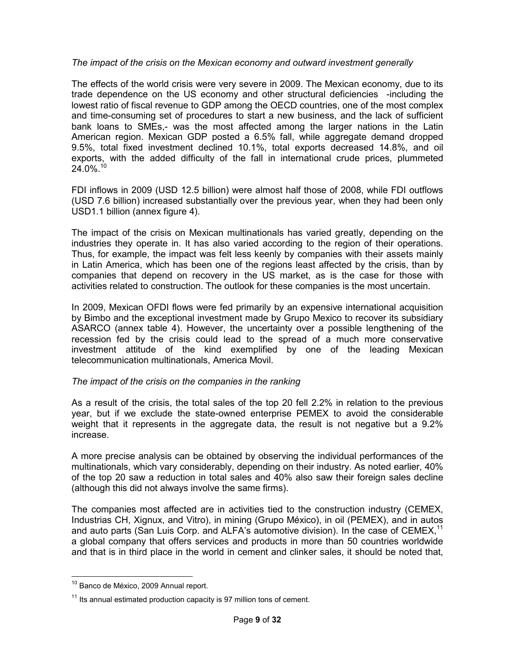## *The impact of the crisis on the Mexican economy and outward investment generally*

The effects of the world crisis were very severe in 2009. The Mexican economy, due to its trade dependence on the US economy and other structural deficiencies -including the lowest ratio of fiscal revenue to GDP among the OECD countries, one of the most complex and time-consuming set of procedures to start a new business, and the lack of sufficient bank loans to SMEs,- was the most affected among the larger nations in the Latin American region. Mexican GDP posted a 6.5% fall, while aggregate demand dropped 9.5%, total fixed investment declined 10.1%, total exports decreased 14.8%, and oil exports, with the added difficulty of the fall in international crude prices, plummeted  $24.0\%$ .<sup>10</sup>

FDI inflows in 2009 (USD 12.5 billion) were almost half those of 2008, while FDI outflows (USD 7.6 billion) increased substantially over the previous year, when they had been only USD1.1 billion (annex figure 4).

The impact of the crisis on Mexican multinationals has varied greatly, depending on the industries they operate in. It has also varied according to the region of their operations. Thus, for example, the impact was felt less keenly by companies with their assets mainly in Latin America, which has been one of the regions least affected by the crisis, than by companies that depend on recovery in the US market, as is the case for those with activities related to construction. The outlook for these companies is the most uncertain.

In 2009, Mexican OFDI flows were fed primarily by an expensive international acquisition by Bimbo and the exceptional investment made by Grupo Mexico to recover its subsidiary ASARCO (annex table 4). However, the uncertainty over a possible lengthening of the recession fed by the crisis could lead to the spread of a much more conservative investment attitude of the kind exemplified by one of the leading Mexican telecommunication multinationals, America Movil.

## *The impact of the crisis on the companies in the ranking*

As a result of the crisis, the total sales of the top 20 fell 2.2% in relation to the previous year, but if we exclude the state-owned enterprise PEMEX to avoid the considerable weight that it represents in the aggregate data, the result is not negative but a 9.2% increase.

A more precise analysis can be obtained by observing the individual performances of the multinationals, which vary considerably, depending on their industry. As noted earlier, 40% of the top 20 saw a reduction in total sales and 40% also saw their foreign sales decline (although this did not always involve the same firms).

The companies most affected are in activities tied to the construction industry (CEMEX, Industrias CH, Xignux, and Vitro), in mining (Grupo México), in oil (PEMEX), and in autos and auto parts (San Luis Corp. and ALFA's automotive division). In the case of CEMEX,<sup>11</sup> a global company that offers services and products in more than 50 countries worldwide and that is in third place in the world in cement and clinker sales, it should be noted that,

<sup>&</sup>lt;u>.</u> <sup>10</sup> Banco de México, 2009 Annual report.

 $11$  Its annual estimated production capacity is 97 million tons of cement.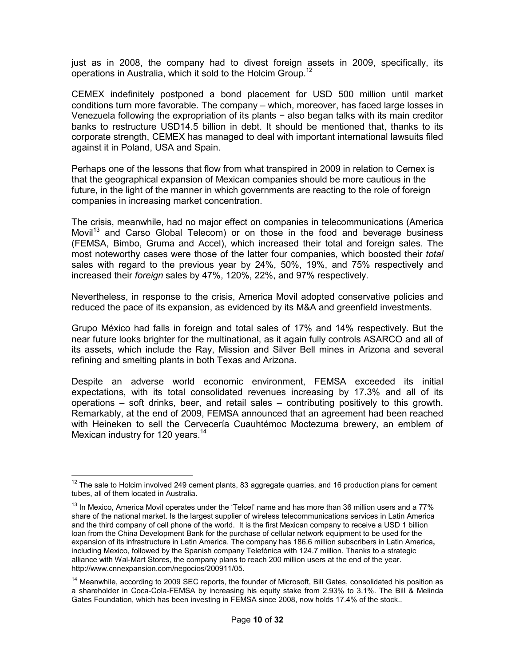just as in 2008, the company had to divest foreign assets in 2009, specifically, its operations in Australia, which it sold to the Holcim Group.<sup>12</sup>

CEMEX indefinitely postponed a bond placement for USD 500 million until market conditions turn more favorable. The company – which, moreover, has faced large losses in Venezuela following the expropriation of its plants − also began talks with its main creditor banks to restructure USD14.5 billion in debt. It should be mentioned that, thanks to its corporate strength, CEMEX has managed to deal with important international lawsuits filed against it in Poland, USA and Spain.

Perhaps one of the lessons that flow from what transpired in 2009 in relation to Cemex is that the geographical expansion of Mexican companies should be more cautious in the future, in the light of the manner in which governments are reacting to the role of foreign companies in increasing market concentration.

The crisis, meanwhile, had no major effect on companies in telecommunications (America Movil<sup>13</sup> and Carso Global Telecom) or on those in the food and beverage business (FEMSA, Bimbo, Gruma and Accel), which increased their total and foreign sales. The most noteworthy cases were those of the latter four companies, which boosted their *total* sales with regard to the previous year by 24%, 50%, 19%, and 75% respectively and increased their *foreign* sales by 47%, 120%, 22%, and 97% respectively.

Nevertheless, in response to the crisis, America Movil adopted conservative policies and reduced the pace of its expansion, as evidenced by its M&A and greenfield investments.

Grupo México had falls in foreign and total sales of 17% and 14% respectively. But the near future looks brighter for the multinational, as it again fully controls ASARCO and all of its assets, which include the Ray, Mission and Silver Bell mines in Arizona and several refining and smelting plants in both Texas and Arizona.

Despite an adverse world economic environment, FEMSA exceeded its initial expectations, with its total consolidated revenues increasing by 17.3% and all of its operations – soft drinks, beer, and retail sales – contributing positively to this growth. Remarkably, at the end of 2009, FEMSA announced that an agreement had been reached with Heineken to sell the Cervecería Cuauhtémoc Moctezuma brewery, an emblem of Mexican industry for 120 years.<sup>14</sup>

 $\frac{1}{2}$  $12$  The sale to Holcim involved 249 cement plants, 83 aggregate quarries, and 16 production plans for cement tubes, all of them located in Australia.

 $13$  In Mexico, America Movil operates under the 'Telcel' name and has more than 36 million users and a 77% share of the national market. Is the largest supplier of wireless telecommunications services in Latin America and the third company of cell phone of the world. It is the first Mexican company to receive a USD 1 billion loan from the China Development Bank for the purchase of cellular network equipment to be used for the expansion of its infrastructure in Latin America. The company has 186.6 million subscribers in Latin America**,**  including Mexico, followed by the Spanish company Telefónica with 124.7 million. Thanks to a strategic alliance with Wal-Mart Stores, the company plans to reach 200 million users at the end of the year. http://www.cnnexpansion.com/negocios/200911/05.

<sup>&</sup>lt;sup>14</sup> Meanwhile, according to 2009 SEC reports, the founder of Microsoft, Bill Gates, consolidated his position as a shareholder in Coca-Cola-FEMSA by increasing his equity stake from 2.93% to 3.1%. The Bill & Melinda Gates Foundation, which has been investing in FEMSA since 2008, now holds 17.4% of the stock..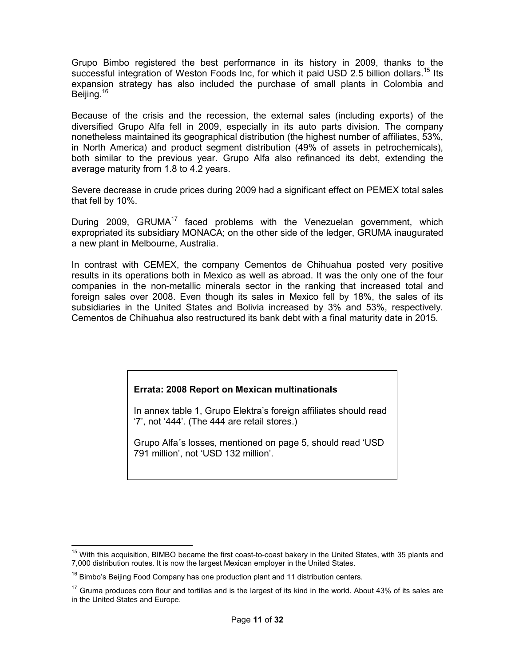Grupo Bimbo registered the best performance in its history in 2009, thanks to the successful integration of Weston Foods Inc, for which it paid USD 2.5 billion dollars.<sup>15</sup> Its expansion strategy has also included the purchase of small plants in Colombia and Beijing.<sup>16</sup>

Because of the crisis and the recession, the external sales (including exports) of the diversified Grupo Alfa fell in 2009, especially in its auto parts division. The company nonetheless maintained its geographical distribution (the highest number of affiliates, 53%, in North America) and product segment distribution (49% of assets in petrochemicals), both similar to the previous year. Grupo Alfa also refinanced its debt, extending the average maturity from 1.8 to 4.2 years.

Severe decrease in crude prices during 2009 had a significant effect on PEMEX total sales that fell by 10%.

During 2009, GRUMA<sup>17</sup> faced problems with the Venezuelan government, which expropriated its subsidiary MONACA; on the other side of the ledger, GRUMA inaugurated a new plant in Melbourne, Australia.

In contrast with CEMEX, the company Cementos de Chihuahua posted very positive results in its operations both in Mexico as well as abroad. It was the only one of the four companies in the non-metallic minerals sector in the ranking that increased total and foreign sales over 2008. Even though its sales in Mexico fell by 18%, the sales of its subsidiaries in the United States and Bolivia increased by 3% and 53%, respectively. Cementos de Chihuahua also restructured its bank debt with a final maturity date in 2015.

## **Errata: 2008 Report on Mexican multinationals**

In annex table 1, Grupo Elektra's foreign affiliates should read '7', not '444'. (The 444 are retail stores.)

Grupo Alfa´s losses, mentioned on page 5, should read 'USD 791 million', not 'USD 132 million'.

 $\frac{1}{2}$ 

<sup>&</sup>lt;sup>15</sup> With this acquisition, BIMBO became the first coast-to-coast bakery in the United States, with 35 plants and 7,000 distribution routes. It is now the largest Mexican employer in the United States.

 $16$  Bimbo's Beijing Food Company has one production plant and 11 distribution centers.

 $17$  Gruma produces corn flour and tortillas and is the largest of its kind in the world. About 43% of its sales are in the United States and Europe.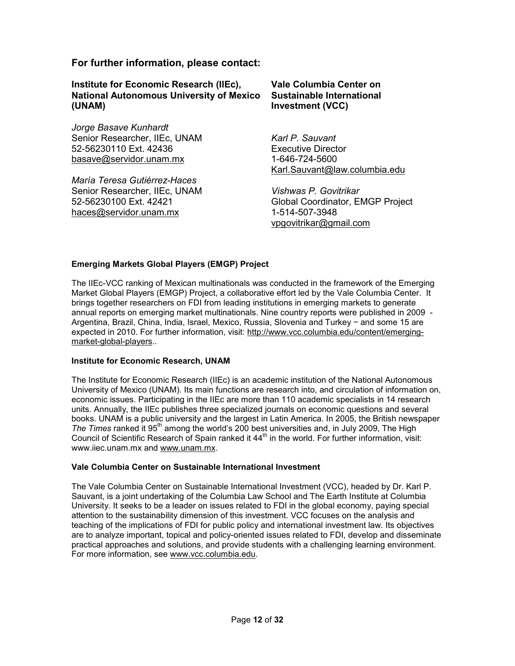## **For further information, please contact:**

| Institute for Economic Research (IIEc),         |  |
|-------------------------------------------------|--|
| <b>National Autonomous University of Mexico</b> |  |
| (UNAM)                                          |  |

*Jorge Basave Kunhardt*  Senior Researcher, IIEc, UNAM 52-56230110 Ext. 42436 [basave@servidor.unam.mx](mailto:basave@servidor.unam.mx)

*María Teresa Gutiérrez-Haces*  Senior Researcher, IIEc, UNAM 52-56230100 Ext. 42421 [haces@servidor.unam.mx](mailto:haces@servidor.unam.mx)

## **Vale Columbia Center on Sustainable International Investment (VCC)**

*Karl P. Sauvant*  Executive Director 1-646-724-5600 [Karl.Sauvant@law.columbia.edu](mailto:Karl.Sauvant@law.columbia.edu)

*Vishwas P. Govitrikar*  Global Coordinator, EMGP Project 1-514-507-3948 [vpgovitrikar@gmail.com](mailto:vpgovitrikar@gmail.com)

#### **Emerging Markets Global Players (EMGP) Project**

The IIEc-VCC ranking of Mexican multinationals was conducted in the framework of the Emerging Market Global Players (EMGP) Project, a collaborative effort led by the Vale Columbia Center. It brings together researchers on FDI from leading institutions in emerging markets to generate annual reports on emerging market multinationals. Nine country reports were published in 2009 - Argentina, Brazil, China, India, Israel, Mexico, Russia, Slovenia and Turkey − and some 15 are expected in 2010. For further information, visit: [http://www.vcc.columbia.edu/content/emerging](http://www.vcc.columbia.edu/content/emerging-market-global-players)[market-global-players](http://www.vcc.columbia.edu/content/emerging-market-global-players)..

#### **Institute for Economic Research, UNAM**

The Institute for Economic Research (IIEc) is an academic institution of the National Autonomous University of Mexico (UNAM). Its main functions are research into, and circulation of information on, economic issues. Participating in the IIEc are more than 110 academic specialists in 14 research units. Annually, the IIEc publishes three specialized journals on economic questions and several books. UNAM is a public university and the largest in Latin America. In 2005, the British newspaper *The Times* ranked it 95<sup>th</sup> among the world's 200 best universities and, in July 2009, The High Council of Scientific Research of Spain ranked it  $44<sup>th</sup>$  in the world. For further information, visit: www.iiec.unam.mx and [www.unam.mx](http://www.unam.mx/).

#### **Vale Columbia Center on Sustainable International Investment**

The Vale Columbia Center on Sustainable International Investment (VCC), headed by Dr. Karl P. Sauvant, is a joint undertaking of the Columbia Law School and The Earth Institute at Columbia University. It seeks to be a leader on issues related to FDI in the global economy, paying special attention to the sustainability dimension of this investment. VCC focuses on the analysis and teaching of the implications of FDI for public policy and international investment law. Its objectives are to analyze important, topical and policy-oriented issues related to FDI, develop and disseminate practical approaches and solutions, and provide students with a challenging learning environment. For more information, see [www.vcc.columbia.edu](http://www.vcc.columbia.edu/).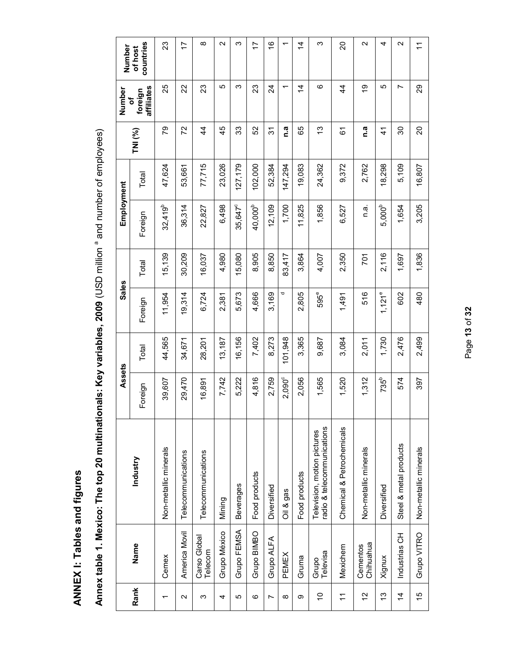ANNEX I: Tables and figures **ANNEX I: Tables and figures** 

Annex table 1. Mexico: The top 20 multinationals: Key variables, 2009 (USD million <sup>a</sup> and number of employees) **Annex table 1. Mexico: The top 20 multinationals: Key variables, 2009** (USD million a and number of employees)

| Number<br>of host<br>ቴ                                |
|-------------------------------------------------------|
| affiliates<br>foreign<br>TNI (%)<br>Total<br>Foreign  |
|                                                       |
| 47,624<br>$32,419^{b}$                                |
| 53,661<br>36,314                                      |
| 22,827                                                |
| 4,980<br>15,139<br>30,209<br>16,037<br>Total<br>2,381 |
| 19,314<br>11,954<br>6,724<br>Foreign                  |
| 44,565<br>34,671<br>28,201<br>Total                   |
| 29,470<br>39,607<br>Foreign                           |
| Non-metallic minerals<br>Telecommunications           |
| America Movil<br>Cemex                                |
|                                                       |

Page **13** of **32**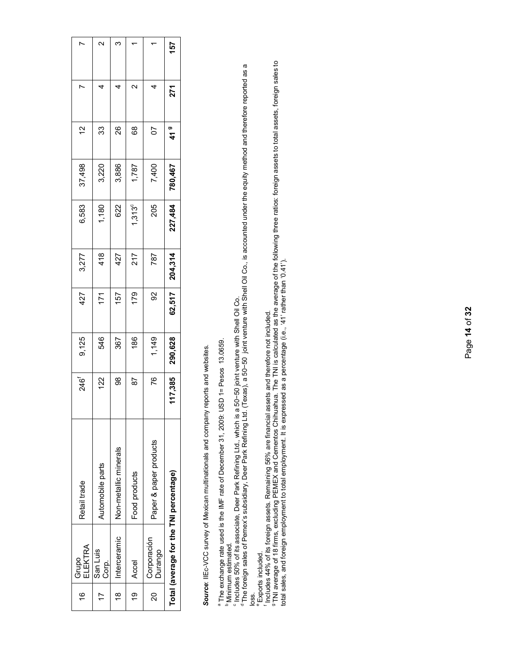| $\frac{6}{1}$  | Grupo<br>ELEKTRA       | Retail trade                           | 246 <sup>f</sup> | 9,125   | 427    | 3,277   | 6,583     | 37,498  | 5      |                 |     |
|----------------|------------------------|----------------------------------------|------------------|---------|--------|---------|-----------|---------|--------|-----------------|-----|
| 17             | San Luis<br>Corp.      | Automobile parts                       | 122              | 546     | 171    | 418     | 1,180     | 3,220   | 33     | 4               | 2   |
| $\frac{8}{10}$ | Interceramic           | Non-metallic minerals                  | 8                | 367     | 157    | 427     | 622       | 3,886   | 26     | 4               | ო   |
| 19   Accel     |                        | Food products                          | 67               | 186     | 179    | 217     | $1,313^c$ | 1,787   | 89     | $\mathbf{\sim}$ |     |
| ລູ             | Corporación<br>Durango | Paper & paper products                 | X6               | 1,149   | ႙ၟ     | 787     | 205       | 7,400   | 5      | 4               |     |
|                |                        | Total (average for the TNI percentage) | 117,385          | 290,628 | 62,517 | 204,314 | 227,484   | 780,467 | ण<br>न | 271             | 157 |

*Source*: IIEc-VCC survey of Mexican multinationals and company reports and websites. Source: IIEc-VCC survey of Mexican multinationals and company reports and websites. a The exchange rate used is the IMF rate of December 31, 2009: USD 1= Pesos 13.0659.<br><sup>b</sup> Minimum estimated.

° Includes 50% of its associate, Deer Park Refining Ltd., which is a 50~50 joint venture with Shell Oil Co.<br><sup>9</sup> The foreign sales of Pernex's subsidiary, Deer Park Refining Ltd. (Texas), a 50~50 joint venture with Shell Oi

e Exports included.

f Includes 44% of its foreign assets. Remaining 56% are financial assets and therefore not included.

° The exchange rate used is the IMF rate of December 31, 2009: USD 1= Pesos 13.0659.<br>° Minimum estimated.<br>° The foreign sales of Permex's subsidiary. Deer Park Refining Ltd, which is a 50∼50 joint venture with Shell Oli <sup>9</sup>TNI average of 18 firms, excluding PEMEX and Cementos Chihuahua. The TNI is calculated as the average of the following three ratios: foreign assets to total assets, foreign sales to total sales, and foreign employment to total employment. It is expressed as a percentage (i.e., '41' rather than '0.41').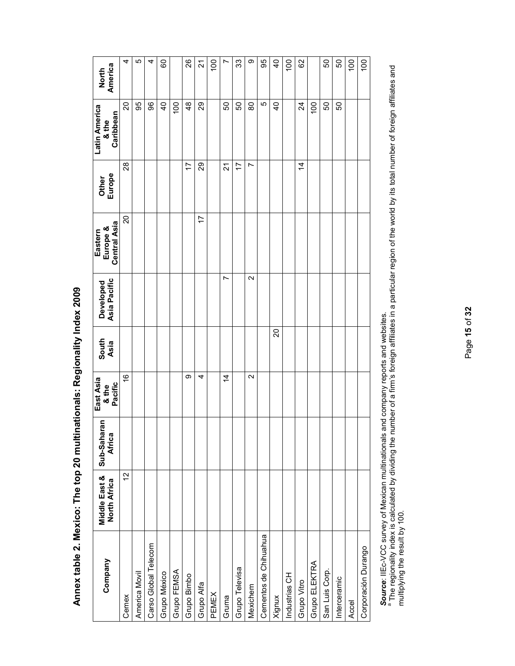| Company               | Middle East &<br>North Africa | Sub-Saharan<br><b>Africa</b> | East Asia<br>Pacific<br>& the | South<br>Asia | Developed<br>Asia Pacific | <b>Central Asia</b><br>Eastern<br>Europe & | Other<br>Europe | Latin America<br>Caribbean<br>& the | North<br>America |
|-----------------------|-------------------------------|------------------------------|-------------------------------|---------------|---------------------------|--------------------------------------------|-----------------|-------------------------------------|------------------|
| Cemex                 | $\frac{2}{1}$                 |                              | $\frac{6}{1}$                 |               |                           | 20                                         | $^{8}$          | $\Omega$                            | 4                |
| America Movil         |                               |                              |                               |               |                           |                                            |                 | 95                                  | 5                |
| Carso Global Telecom  |                               |                              |                               |               |                           |                                            |                 | 96                                  | 4                |
| Grupo México          |                               |                              |                               |               |                           |                                            |                 | $\frac{4}{3}$                       | င္စ              |
| Grupo FEMSA           |                               |                              |                               |               |                           |                                            |                 | 100                                 |                  |
| Grupo Bimbo           |                               |                              | တ                             |               |                           |                                            | 17              | $\frac{8}{4}$                       | 26               |
| Grupo Alfa            |                               |                              | 4                             |               |                           | 17                                         | 29              | 29                                  | 24               |
| PEMEX                 |                               |                              |                               |               |                           |                                            |                 |                                     | $\frac{0}{1}$    |
| Gruma                 |                               |                              | 4                             |               | Ľ                         |                                            | $\overline{2}$  | င္ၿ                                 | Ľ                |
| Grupo Televisa        |                               |                              |                               |               |                           |                                            | 17              | င္ပ                                 | 33               |
| Mexichem              |                               |                              | N                             |               | $\sim$                    |                                            | Ľ               | 80                                  | თ                |
| Cementos de Chihuahua |                               |                              |                               |               |                           |                                            |                 | 5                                   | 95               |
| Xignux                |                               |                              |                               | 20            |                           |                                            |                 | $\overline{4}$                      | $\overline{6}$   |
| Industrias CH         |                               |                              |                               |               |                           |                                            |                 |                                     | 100              |
| Grupo Vitro           |                               |                              |                               |               |                           |                                            | $\frac{4}{4}$   | $\overline{24}$                     | 82               |
| Grupo ELEKTRA         |                               |                              |                               |               |                           |                                            |                 | 100                                 |                  |
| San Luis Corp.        |                               |                              |                               |               |                           |                                            |                 | 50                                  | င္တ              |
| Interceramic          |                               |                              |                               |               |                           |                                            |                 | ნ0                                  | 50               |
| Accel                 |                               |                              |                               |               |                           |                                            |                 |                                     | 100              |
| Corporación Durango   |                               |                              |                               |               |                           |                                            |                 |                                     | 100              |

Annex table 2. Mexico: The top 20 multinationals: Regionality Index 2009 **Annex table 2. Mexico: The top 20 multinationals: Regionality Index 2009** 

*Source*: IIEc-VCC survey of Mexican multinationals and company reports and websites.

Source: IIEc-VCC survey of Mexican multinationals and company reports and websites.<br><sup>a</sup> The regionality index is calculated by dividing the number of a firm's foreign affiliates in a particular region of the world by its t a The regionality index is calculated by dividing the number of a firm's foreign affiliates in a particular region of the world by its total number of foreign affiliates and multiplying the result by 100.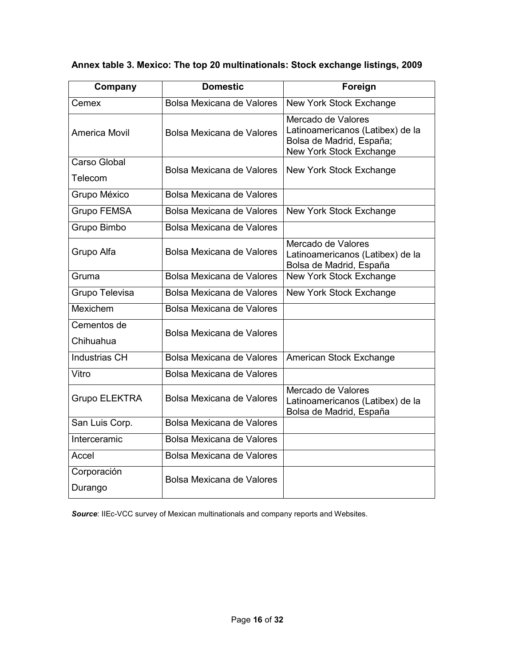## **Annex table 3. Mexico: The top 20 multinationals: Stock exchange listings, 2009**

| Company                        | <b>Domestic</b>           | Foreign                                                                                                       |
|--------------------------------|---------------------------|---------------------------------------------------------------------------------------------------------------|
| Cemex                          | Bolsa Mexicana de Valores | New York Stock Exchange                                                                                       |
| <b>America Movil</b>           | Bolsa Mexicana de Valores | Mercado de Valores<br>Latinoamericanos (Latibex) de la<br>Bolsa de Madrid, España;<br>New York Stock Exchange |
| <b>Carso Global</b><br>Telecom | Bolsa Mexicana de Valores | New York Stock Exchange                                                                                       |
| Grupo México                   | Bolsa Mexicana de Valores |                                                                                                               |
| <b>Grupo FEMSA</b>             | Bolsa Mexicana de Valores | New York Stock Exchange                                                                                       |
| Grupo Bimbo                    | Bolsa Mexicana de Valores |                                                                                                               |
| Grupo Alfa                     | Bolsa Mexicana de Valores | Mercado de Valores<br>Latinoamericanos (Latibex) de la<br>Bolsa de Madrid, España                             |
| Gruma                          | Bolsa Mexicana de Valores | New York Stock Exchange                                                                                       |
| Grupo Televisa                 | Bolsa Mexicana de Valores | New York Stock Exchange                                                                                       |
| Mexichem                       | Bolsa Mexicana de Valores |                                                                                                               |
| Cementos de<br>Chihuahua       | Bolsa Mexicana de Valores |                                                                                                               |
| <b>Industrias CH</b>           | Bolsa Mexicana de Valores | American Stock Exchange                                                                                       |
| Vitro                          | Bolsa Mexicana de Valores |                                                                                                               |
| <b>Grupo ELEKTRA</b>           | Bolsa Mexicana de Valores | Mercado de Valores<br>Latinoamericanos (Latibex) de la<br>Bolsa de Madrid, España                             |
| San Luis Corp.                 | Bolsa Mexicana de Valores |                                                                                                               |
| Interceramic                   | Bolsa Mexicana de Valores |                                                                                                               |
| Accel                          | Bolsa Mexicana de Valores |                                                                                                               |
| Corporación<br>Durango         | Bolsa Mexicana de Valores |                                                                                                               |

**Source: IIEc-VCC survey of Mexican multinationals and company reports and Websites.**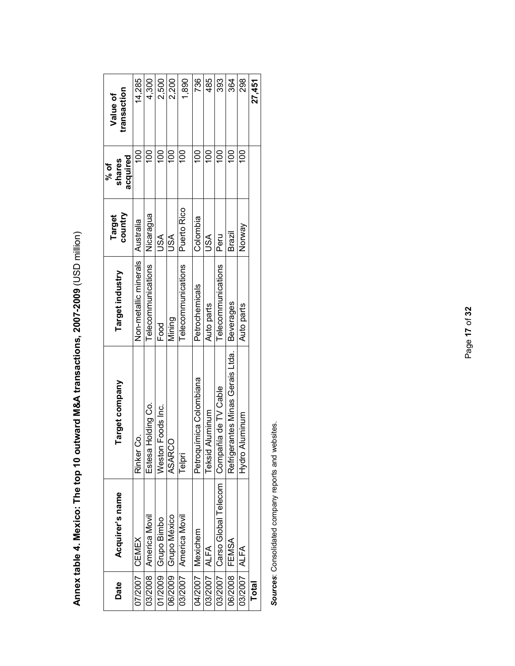|         |                      |                                          |                       |                   | % of               |                         |
|---------|----------------------|------------------------------------------|-----------------------|-------------------|--------------------|-------------------------|
| Date    | Acquirer's name      | Target company                           | Target industry       | country<br>Target | acquired<br>shares | transaction<br>Value of |
| 07/2007 | I CEMEX              | ပ္ပိ<br>Rinker                           | Non-metallic minerals | Australia         | 100                | 14.285                  |
| 03/2008 | America Movil        | Estesa Holding Co.                       | Telecommunications    | Nicaragua         | $\frac{8}{1}$      | 4,300                   |
| 01/2009 | Grupo Bimbo          | Weston Foods Inc.                        | Food                  | JSA               | $\frac{8}{1}$      | 2,500                   |
| 06/2009 | Grupo México         | 8<br>ASAR                                | Mining                | JSA               | 100                | 2,200                   |
| 03/2007 | America Movil        | Telpri                                   | Telecommunications    | Puerto Rico       | SO                 | 1,890                   |
| 04/2007 | <b>Mexichem</b>      | uímica Colombiana<br>Petroq <sup>®</sup> | Petrochemicals        | Colombia          | $\frac{0}{1}$      | 736                     |
| 03/2007 | <b>ALFA</b>          | Teksid Aluminum                          | Auto parts            | USA               | SO                 | 485                     |
| 03/2007 | Carso Global Telecom | Compañía de TV Cable                     | Telecommunications    | Peru              | $\frac{0}{1}$      | 393                     |
| 06/2008 | FEMSA                | Refrigerantes Minas Gerais Ltda.         | <b>Beverages</b>      | Brazil            | 100                | 364                     |
| 03/2007 | I ALFA               | Aluminum<br>Hydro                        | Auto parts            | Norway            | $\overline{0}$     | 298                     |
| Total   |                      |                                          |                       |                   |                    | 27,451                  |

Annex table 4. Mexico: The top 10 outward M&A transactions, 2007-2009 (USD million) **Annex table 4. Mexico: The top 10 outward M&A transactions, 2007-2009** (USD million)

Sources: Consolidated company reports and websites. *Sources*: Consolidated company reports and websites.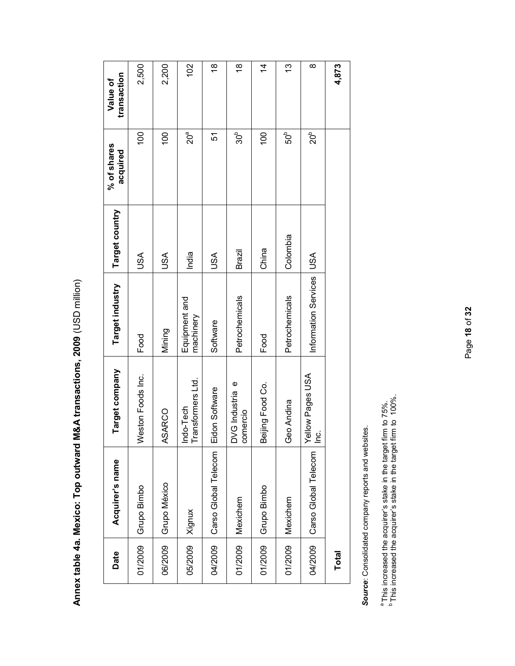| $\overline{a}$ |
|----------------|
| $\frac{1}{2}$  |
| $\frac{1}{2}$  |
|                |
|                |
|                |
|                |
|                |
|                |
|                |

| Date    | Acquirer's name      | Target company                    | Target industry            | Target country | % of shares<br>acquired | transaction<br>Value of         |
|---------|----------------------|-----------------------------------|----------------------------|----------------|-------------------------|---------------------------------|
| 01/2009 | Grupo Bimbo          | Weston Foods Inc.                 | Food                       | USA            | $\overline{00}$         | 2,500                           |
| 06/2009 | Grupo México         | ASARCO                            | Mining                     | USA            | 100                     | 2,200                           |
| 05/2009 | Xignux               | Transformers Ltd.<br>Indo-Tech    | Equipment and<br>machinery | India          | $20^a$                  | 102                             |
| 04/2009 | Carso Global Telecom | Eidon Software                    | Software                   | USA            | 5                       | $\overset{\infty}{\rightarrow}$ |
| 01/2009 | Mexichem             | DVG Industria e<br>comercio       | Petrochemicals             | Brazil         | 30 <sup>b</sup>         | $\frac{8}{1}$                   |
| 01/2009 | Grupo Bimbo          | Beijing Food Co.                  | Food                       | China          | 100                     | $\overline{4}$                  |
| 01/2009 | Mexichem             | Geo Andina                        | Petrochemicals             | Colombia       | 50 <sup>b</sup>         | 13                              |
| 04/2009 | Carso Global Telecom | Yellow Pages USA<br>$\frac{1}{2}$ | Information Services       | <b>NSN</b>     | 20 <sup>b</sup>         | ∞                               |
| Total   |                      |                                   |                            |                |                         | 4,873                           |

Source: Consolidated company reports and websites. *Source*: Consolidated company reports and websites.

 $^{\circ}$  This increased the acquirer's stake in the target firm to 75%.<br><sup>b</sup> This increased the acquirer's stake in the target firm to 100%.  $^{\rm a}$  This increased the acquirer's stake in the target firm to 75%.  $^{\rm b}$  This increased the acquirer's stake in the target firm to 100%.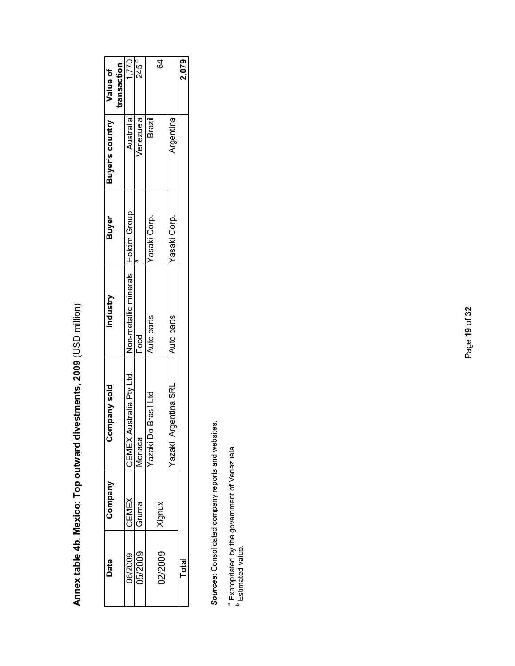Annex table 4b. Mexico: Top outward divestments, 2009 (USD million) **Annex table 4b. Mexico: Top outward divestments, 2009** (USD million)

| Australia Pty Ltd.<br>o Brasil Ltd<br>vazaki D.<br>CEMEX<br>Monaca | Company sold                     | Non-metallic minerals Holcim Group<br>Industry<br>Auto parts<br>Auto parts<br>Food | Yasaki Corp.<br>Yasaki Corp.<br>Buyer<br>ā | Buyer's country<br>Australia<br>Venezuela<br>Brazil<br>Argentina | 245 <sup>b</sup><br>1,770<br>84<br>transaction<br>Value of |
|--------------------------------------------------------------------|----------------------------------|------------------------------------------------------------------------------------|--------------------------------------------|------------------------------------------------------------------|------------------------------------------------------------|
|                                                                    |                                  |                                                                                    |                                            |                                                                  | 2,079                                                      |
|                                                                    | <b>Ingentina SRL</b><br>Yazaki A |                                                                                    |                                            |                                                                  |                                                            |

Sources: Consolidated company reports and websites. *Sources*: Consolidated company reports and websites.

 $^a$  Expropriated by the government of Venezuela.<br> $^b$  Estimated value. a Expropriated by the government of Venezuela.<br><sup>b</sup> Estimated value.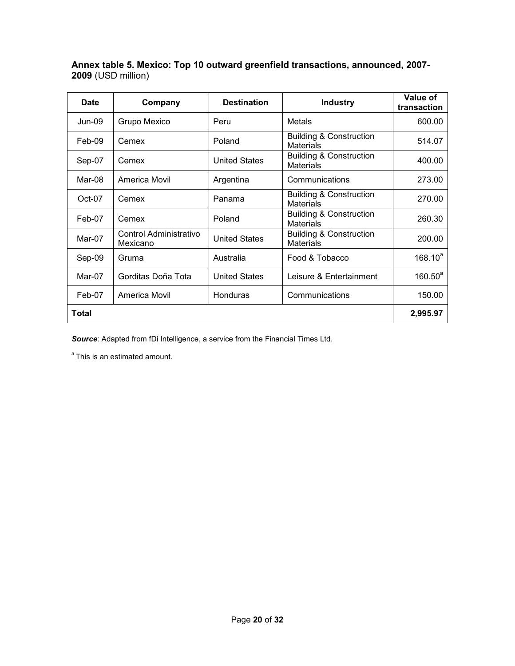| <b>Date</b> | Company                            | <b>Destination</b>   | <b>Industry</b>                                        | Value of<br>transaction |
|-------------|------------------------------------|----------------------|--------------------------------------------------------|-------------------------|
| $Jun-09$    | Grupo Mexico                       | Peru                 | Metals                                                 | 600.00                  |
| $Feb-09$    | Cemex                              | Poland               | <b>Building &amp; Construction</b><br><b>Materials</b> | 514.07                  |
| Sep-07      | Cemex                              | <b>United States</b> | <b>Building &amp; Construction</b><br><b>Materials</b> | 400.00                  |
| Mar-08      | America Movil                      | Argentina            | Communications                                         | 273.00                  |
| $Oct-07$    | Cemex                              | Panama               | <b>Building &amp; Construction</b><br><b>Materials</b> | 270.00                  |
| Feb-07      | Cemex                              | Poland               | <b>Building &amp; Construction</b><br><b>Materials</b> | 260.30                  |
| Mar-07      | Control Administrativo<br>Mexicano | <b>United States</b> | <b>Building &amp; Construction</b><br><b>Materials</b> | 200.00                  |
| Sep-09      | Gruma                              | Australia            | Food & Tobacco                                         | $168.10^{a}$            |
| Mar-07      | Gorditas Doña Tota                 | <b>United States</b> | Leisure & Entertainment                                | $160.50^a$              |
| Feb-07      | America Movil                      | <b>Honduras</b>      | Communications                                         | 150.00                  |
| Total       |                                    |                      |                                                        | 2,995.97                |

**Annex table 5. Mexico: Top 10 outward greenfield transactions, announced, 2007- 2009** (USD million)

*Source*: Adapted from fDi Intelligence, a service from the Financial Times Ltd.

<sup>a</sup> This is an estimated amount.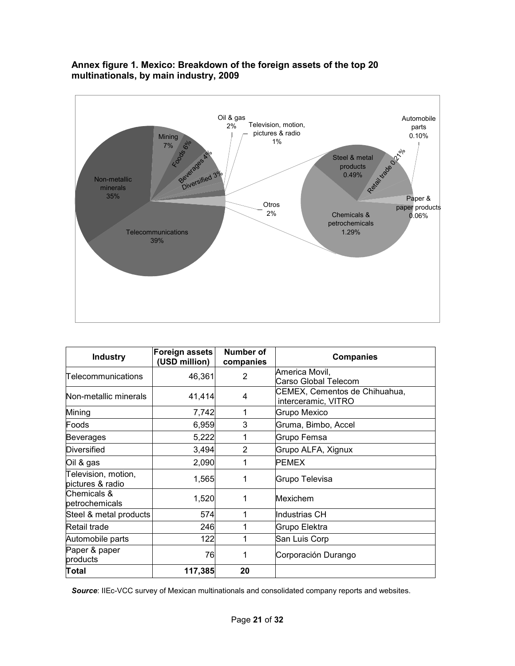



| <b>Industry</b>                         | Foreign assets<br>(USD million) | Number of<br>companies | <b>Companies</b>                                     |
|-----------------------------------------|---------------------------------|------------------------|------------------------------------------------------|
| <b>Telecommunications</b>               | 46,361                          | 2                      | America Movil,<br>Carso Global Telecom               |
| Non-metallic minerals                   | 41,414                          | 4                      | CEMEX, Cementos de Chihuahua,<br>interceramic, VITRO |
| Mining                                  | 7,742                           | 1                      | Grupo Mexico                                         |
| Foods                                   | 6,959                           | 3                      | Gruma, Bimbo, Accel                                  |
| <b>Beverages</b>                        | 5,222                           | 1                      | Grupo Femsa                                          |
| Diversified                             | 3,494                           | 2                      | Grupo ALFA, Xignux                                   |
| Oil & gas                               | 2,090                           | 1                      | <b>PEMEX</b>                                         |
| Television, motion,<br>pictures & radio | 1,565                           | 1                      | Grupo Televisa                                       |
| Chemicals &<br>petrochemicals           | 1,520                           | 1                      | Mexichem                                             |
| Steel & metal products                  | 574                             | 1                      | Industrias CH                                        |
| Retail trade                            | 246                             | 1                      | Grupo Elektra                                        |
| Automobile parts                        | 122                             | 1                      | San Luis Corp                                        |
| Paper & paper<br>products               | 76                              | 1                      | Corporación Durango                                  |
| Total                                   | 117,385                         | 20                     |                                                      |

*Source*: IIEc-VCC survey of Mexican multinationals and consolidated company reports and websites.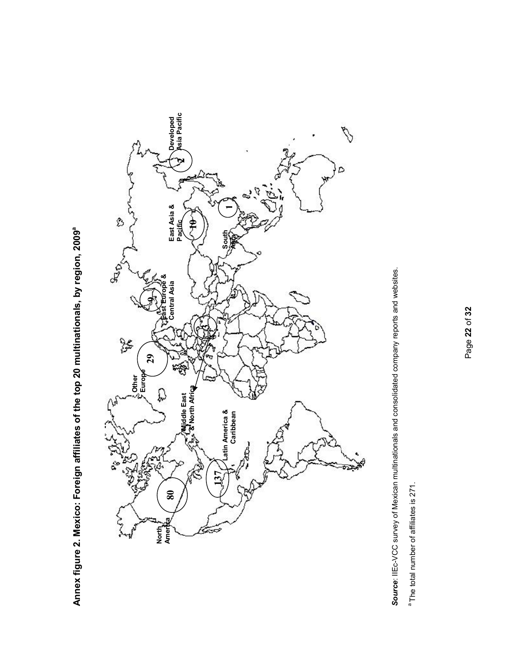Annex figure 2. Mexico: Foreign affiliates of the top 20 multinationals, by region, 2009<sup>ª</sup> **Annex figure 2. Mexico: Foreign affiliates of the top 20 multinationals, by region, 2009a**



*Source*: IIEc-VCC survey of Mexican multinationals and consolidated company reports and websites. Source: IIEc-VCC survey of Mexican multinationals and consolidated company reports and websites.

a The total number of affiliates is 271. <sup>a</sup> The total number of affiliates is 271.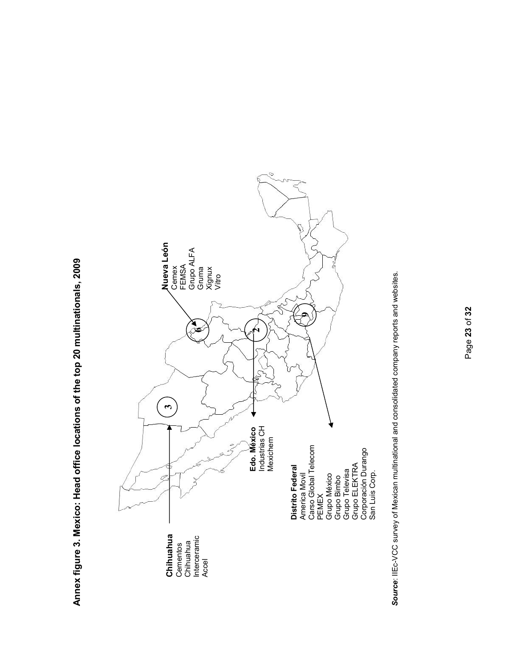**Annex figure 3. Mexico: Head office locations of the top 20 multinationals, 2009**  Annex figure 3. Mexico: Head office locations of the top 20 multinationals, 2009



Source: IIEc-VCC survey of Mexican multinational and consolidated company reports and websites. *Source*: IIEc-VCC survey of Mexican multinational and consolidated company reports and websites.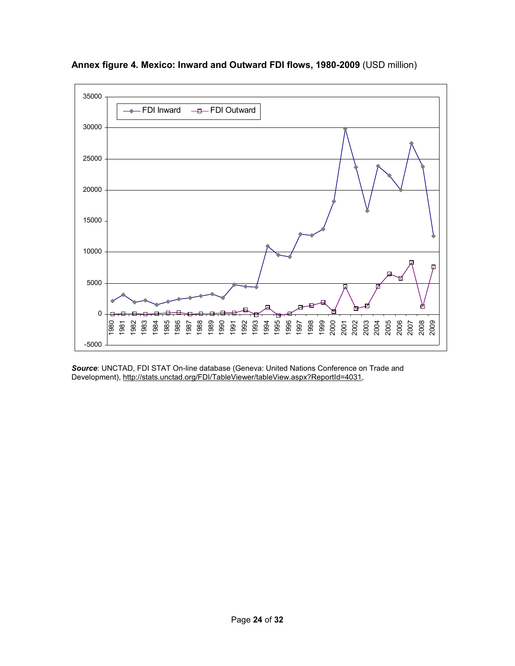

**Annex figure 4. Mexico: Inward and Outward FDI flows, 1980-2009** (USD million)

*Source*: UNCTAD, FDI STAT On-line database (Geneva: United Nations Conference on Trade and Development), [http://stats.unctad.org/FDI/TableViewer/tableView.aspx?ReportId=4031,](http://stats.unctad.org/FDI/TableViewer/tableView.aspx?ReportId=4031)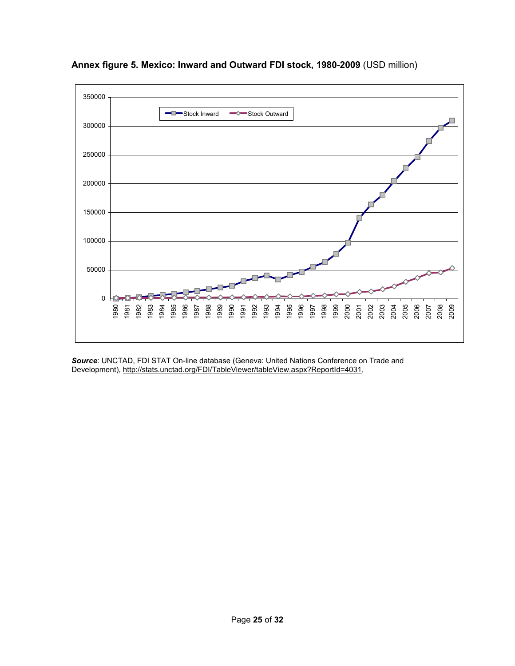

**Annex figure 5. Mexico: Inward and Outward FDI stock, 1980-2009** (USD million)

*Source*: UNCTAD, FDI STAT On-line database (Geneva: United Nations Conference on Trade and Development), [http://stats.unctad.org/FDI/TableViewer/tableView.aspx?ReportId=4031,](http://stats.unctad.org/FDI/TableViewer/tableView.aspx?ReportId=4031)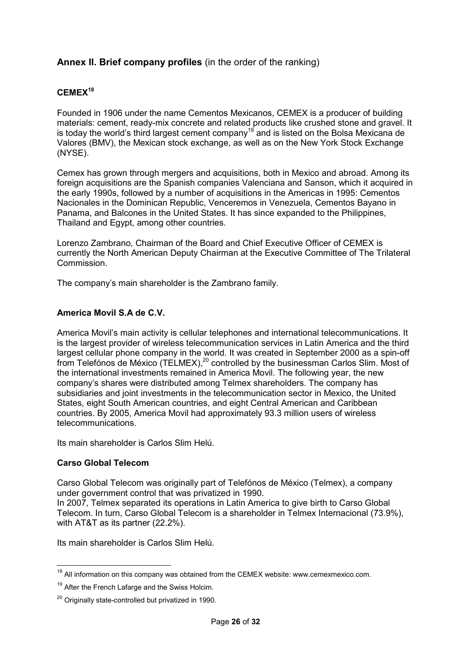## **Annex II. Brief company profiles** (in the order of the ranking)

## **CEMEX<sup>18</sup>**

Founded in 1906 under the name Cementos Mexicanos, CEMEX is a producer of building materials: cement, ready-mix concrete and related products like crushed stone and gravel. It is today the world's third largest cement company<sup>19</sup> and is listed on the Bolsa Mexicana de Valores (BMV), the Mexican stock exchange, as well as on the New York Stock Exchange (NYSE).

Cemex has grown through mergers and acquisitions, both in Mexico and abroad. Among its foreign acquisitions are the Spanish companies Valenciana and Sanson, which it acquired in the early 1990s, followed by a number of acquisitions in the Americas in 1995: Cementos Nacionales in the Dominican Republic, Venceremos in Venezuela, Cementos Bayano in Panama, and Balcones in the United States. It has since expanded to the Philippines, Thailand and Egypt, among other countries.

Lorenzo Zambrano, Chairman of the Board and Chief Executive Officer of CEMEX is currently the North American Deputy Chairman at the Executive Committee of The Trilateral Commission.

The company's main shareholder is the Zambrano family.

## **America Movil S.A de C.V.**

America Movil's main activity is cellular telephones and international telecommunications. It is the largest provider of wireless telecommunication services in Latin America and the third largest cellular phone company in the world. It was created in September 2000 as a spin-off from Telefónos de México (TELMEX),<sup>20</sup> controlled by the businessman Carlos Slim. Most of the international investments remained in America Movil. The following year, the new company's shares were distributed among Telmex shareholders. The company has subsidiaries and joint investments in the telecommunication sector in Mexico, the United States, eight South American countries, and eight Central American and Caribbean countries. By 2005, America Movil had approximately 93.3 million users of wireless telecommunications.

Its main shareholder is Carlos Slim Helú.

## **Carso Global Telecom**

Carso Global Telecom was originally part of Telefónos de México (Telmex), a company under government control that was privatized in 1990.

In 2007, Telmex separated its operations in Latin America to give birth to Carso Global Telecom. In turn, Carso Global Telecom is a shareholder in Telmex Internacional (73.9%), with AT&T as its partner (22.2%).

Its main shareholder is Carlos Slim Helú.

 $\overline{\phantom{a}}$  $18$  All information on this company was obtained from the CEMEX website: www.cemexmexico.com.

 $19$  After the French Lafarge and the Swiss Holcim.

 $20$  Originally state-controlled but privatized in 1990.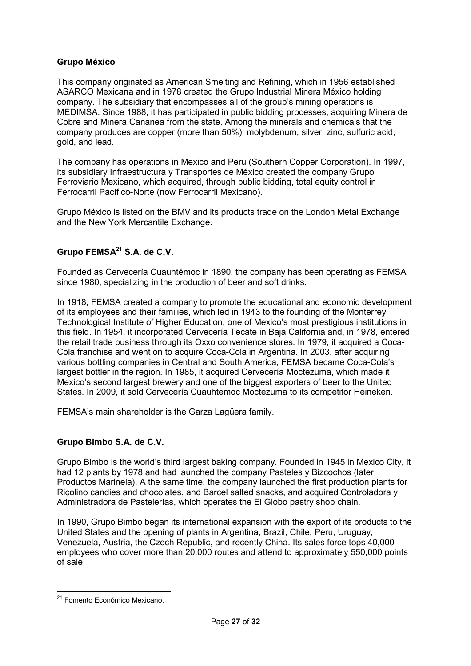## **Grupo México**

This company originated as American Smelting and Refining, which in 1956 established ASARCO Mexicana and in 1978 created the Grupo Industrial Minera México holding company. The subsidiary that encompasses all of the group's mining operations is MEDIMSA. Since 1988, it has participated in public bidding processes, acquiring Minera de Cobre and Minera Cananea from the state. Among the minerals and chemicals that the company produces are copper (more than 50%), molybdenum, silver, zinc, sulfuric acid, gold, and lead.

The company has operations in Mexico and Peru (Southern Copper Corporation). In 1997, its subsidiary Infraestructura y Transportes de México created the company Grupo Ferroviario Mexicano, which acquired, through public bidding, total equity control in Ferrocarril Pacífico-Norte (now Ferrocarril Mexicano).

Grupo México is listed on the BMV and its products trade on the London Metal Exchange and the New York Mercantile Exchange.

## **Grupo FEMSA<sup>21</sup> S.A. de C.V.**

Founded as Cervecería Cuauhtémoc in 1890, the company has been operating as FEMSA since 1980, specializing in the production of beer and soft drinks.

In 1918, FEMSA created a company to promote the educational and economic development of its employees and their families, which led in 1943 to the founding of the Monterrey Technological Institute of Higher Education, one of Mexico's most prestigious institutions in this field. In 1954, it incorporated Cervecería Tecate in Baja California and, in 1978, entered the retail trade business through its Oxxo convenience stores. In 1979, it acquired a Coca-Cola franchise and went on to acquire Coca-Cola in Argentina. In 2003, after acquiring various bottling companies in Central and South America, FEMSA became Coca-Cola's largest bottler in the region. In 1985, it acquired Cervecería Moctezuma, which made it Mexico's second largest brewery and one of the biggest exporters of beer to the United States. In 2009, it sold Cervecería Cuauhtemoc Moctezuma to its competitor Heineken.

FEMSA's main shareholder is the Garza Lagüera family.

## **Grupo Bimbo S.A. de C.V.**

Grupo Bimbo is the world's third largest baking company. Founded in 1945 in Mexico City, it had 12 plants by 1978 and had launched the company Pasteles y Bizcochos (later Productos Marinela). A the same time, the company launched the first production plants for Ricolino candies and chocolates, and Barcel salted snacks, and acquired Controladora y Administradora de Pastelerías, which operates the El Globo pastry shop chain.

In 1990, Grupo Bimbo began its international expansion with the export of its products to the United States and the opening of plants in Argentina, Brazil, Chile, Peru, Uruguay, Venezuela, Austria, the Czech Republic, and recently China. Its sales force tops 40,000 employees who cover more than 20,000 routes and attend to approximately 550,000 points of sale.

 $\overline{a}$ <sup>21</sup> Fomento Económico Mexicano.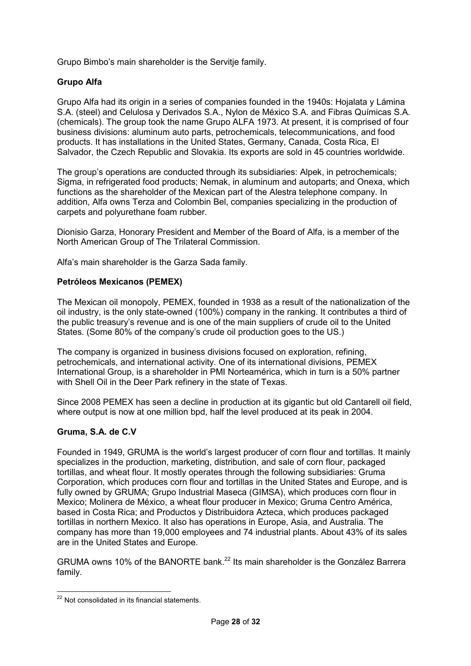Grupo Bimbo's main shareholder is the Servitje family.

## **Grupo Alfa**

Grupo Alfa had its origin in a series of companies founded in the 1940s: Hojalata y Lámina S.A. (steel) and Celulosa y Derivados S.A., Nylon de México S.A. and Fibras Químicas S.A. (chemicals). The group took the name Grupo ALFA 1973. At present, it is comprised of four business divisions: aluminum auto parts, petrochemicals, telecommunications, and food products. It has installations in the United States, Germany, Canada, Costa Rica, El Salvador, the Czech Republic and Slovakia. Its exports are sold in 45 countries worldwide.

The group's operations are conducted through its subsidiaries: Alpek, in petrochemicals; Sigma, in refrigerated food products; Nemak, in aluminum and autoparts; and Onexa, which functions as the shareholder of the Mexican part of the Alestra telephone company. In addition, Alfa owns Terza and Colombin Bel, companies specializing in the production of carpets and polyurethane foam rubber.

Dionisio Garza, Honorary President and Member of the Board of Alfa, is a member of the North American Group of The Trilateral Commission.

Alfa's main shareholder is the Garza Sada family.

## **Petróleos Mexicanos (PEMEX)**

The Mexican oil monopoly, PEMEX, founded in 1938 as a result of the nationalization of the oil industry, is the only state-owned (100%) company in the ranking. It contributes a third of the public treasury's revenue and is one of the main suppliers of crude oil to the United States. (Some 80% of the company's crude oil production goes to the US.)

The company is organized in business divisions focused on exploration, refining, petrochemicals, and international activity. One of its international divisions, PEMEX International Group, is a shareholder in PMI Norteamérica, which in turn is a 50% partner with Shell Oil in the Deer Park refinery in the state of Texas.

Since 2008 PEMEX has seen a decline in production at its gigantic but old Cantarell oil field, where output is now at one million bpd, half the level produced at its peak in 2004.

## **Gruma, S.A. de C.V**

Founded in 1949, GRUMA is the world's largest producer of corn flour and tortillas. It mainly specializes in the production, marketing, distribution, and sale of corn flour, packaged tortillas, and wheat flour. It mostly operates through the following subsidiaries: Gruma Corporation, which produces corn flour and tortillas in the United States and Europe, and is fully owned by GRUMA; Grupo Industrial Maseca (GIMSA), which produces corn flour in Mexico; Molinera de México, a wheat flour producer in Mexico; Gruma Centro América, based in Costa Rica; and Productos y Distribuidora Azteca, which produces packaged tortillas in northern Mexico. It also has operations in Europe, Asia, and Australia. The company has more than 19,000 employees and 74 industrial plants. About 43% of its sales are in the United States and Europe.

GRUMA owns 10% of the BANORTE bank.<sup>22</sup> Its main shareholder is the González Barrera family.

 $\overline{a}$ <sup>22</sup> Not consolidated in its financial statements.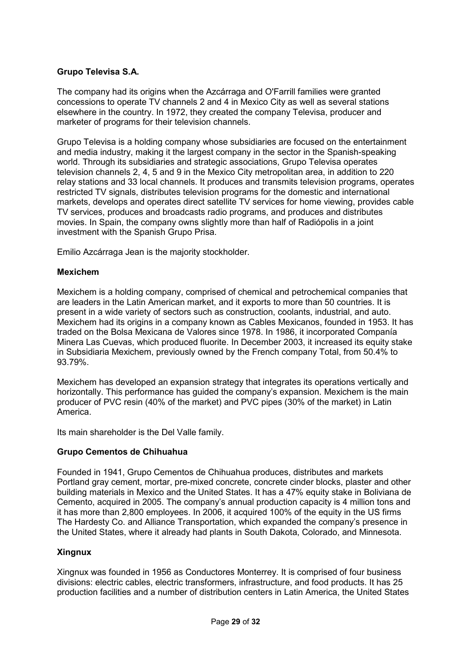## **Grupo Televisa S.A.**

The company had its origins when the Azcárraga and O'Farrill families were granted concessions to operate TV channels 2 and 4 in Mexico City as well as several stations elsewhere in the country. In 1972, they created the company Televisa, producer and marketer of programs for their television channels.

Grupo Televisa is a holding company whose subsidiaries are focused on the entertainment and media industry, making it the largest company in the sector in the Spanish-speaking world. Through its subsidiaries and strategic associations, Grupo Televisa operates television channels 2, 4, 5 and 9 in the Mexico City metropolitan area, in addition to 220 relay stations and 33 local channels. It produces and transmits television programs, operates restricted TV signals, distributes television programs for the domestic and international markets, develops and operates direct satellite TV services for home viewing, provides cable TV services, produces and broadcasts radio programs, and produces and distributes movies. In Spain, the company owns slightly more than half of Radiópolis in a joint investment with the Spanish Grupo Prisa.

Emilio Azcárraga Jean is the majority stockholder.

## **Mexichem**

Mexichem is a holding company, comprised of chemical and petrochemical companies that are leaders in the Latin American market, and it exports to more than 50 countries. It is present in a wide variety of sectors such as construction, coolants, industrial, and auto. Mexichem had its origins in a company known as Cables Mexicanos, founded in 1953. It has traded on the Bolsa Mexicana de Valores since 1978. In 1986, it incorporated Companía Minera Las Cuevas, which produced fluorite. In December 2003, it increased its equity stake in Subsidiaria Mexichem, previously owned by the French company Total, from 50.4% to 93.79%.

Mexichem has developed an expansion strategy that integrates its operations vertically and horizontally. This performance has guided the company's expansion. Mexichem is the main producer of PVC resin (40% of the market) and PVC pipes (30% of the market) in Latin America.

Its main shareholder is the Del Valle family.

## **Grupo Cementos de Chihuahua**

Founded in 1941, Grupo Cementos de Chihuahua produces, distributes and markets Portland gray cement, mortar, pre-mixed concrete, concrete cinder blocks, plaster and other building materials in Mexico and the United States. It has a 47% equity stake in Boliviana de Cemento, acquired in 2005. The company's annual production capacity is 4 million tons and it has more than 2,800 employees. In 2006, it acquired 100% of the equity in the US firms The Hardesty Co. and Alliance Transportation, which expanded the company's presence in the United States, where it already had plants in South Dakota, Colorado, and Minnesota.

## **Xingnux**

Xingnux was founded in 1956 as Conductores Monterrey. It is comprised of four business divisions: electric cables, electric transformers, infrastructure, and food products. It has 25 production facilities and a number of distribution centers in Latin America, the United States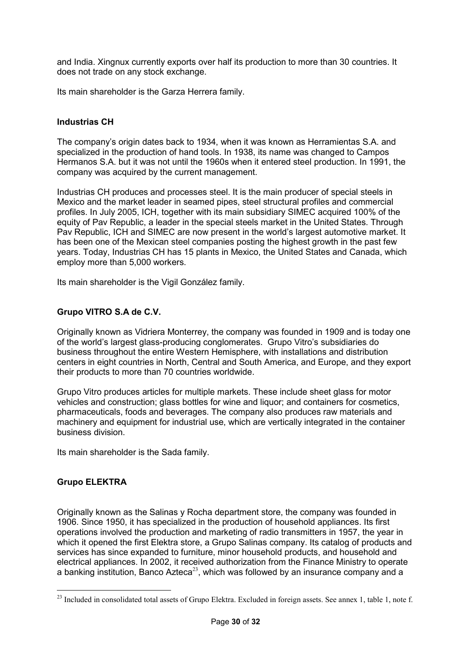and India. Xingnux currently exports over half its production to more than 30 countries. It does not trade on any stock exchange.

Its main shareholder is the Garza Herrera family.

## **Industrias CH**

The company's origin dates back to 1934, when it was known as Herramientas S.A. and specialized in the production of hand tools. In 1938, its name was changed to Campos Hermanos S.A. but it was not until the 1960s when it entered steel production. In 1991, the company was acquired by the current management.

Industrias CH produces and processes steel. It is the main producer of special steels in Mexico and the market leader in seamed pipes, steel structural profiles and commercial profiles. In July 2005, ICH, together with its main subsidiary SIMEC acquired 100% of the equity of Pay Republic, a leader in the special steels market in the United States. Through Pav Republic, ICH and SIMEC are now present in the world's largest automotive market. It has been one of the Mexican steel companies posting the highest growth in the past few years. Today, Industrias CH has 15 plants in Mexico, the United States and Canada, which employ more than 5,000 workers.

Its main shareholder is the Vigil González family.

## **Grupo VITRO S.A de C.V.**

Originally known as Vidriera Monterrey, the company was founded in 1909 and is today one of the world's largest glass-producing conglomerates. Grupo Vitro's subsidiaries do business throughout the entire Western Hemisphere, with installations and distribution centers in eight countries in North, Central and South America, and Europe, and they export their products to more than 70 countries worldwide.

Grupo Vitro produces articles for multiple markets. These include sheet glass for motor vehicles and construction; glass bottles for wine and liquor; and containers for cosmetics, pharmaceuticals, foods and beverages. The company also produces raw materials and machinery and equipment for industrial use, which are vertically integrated in the container business division.

Its main shareholder is the Sada family.

## **Grupo ELEKTRA**

Originally known as the Salinas y Rocha department store, the company was founded in 1906. Since 1950, it has specialized in the production of household appliances. Its first operations involved the production and marketing of radio transmitters in 1957, the year in which it opened the first Elektra store, a Grupo Salinas company. Its catalog of products and services has since expanded to furniture, minor household products, and household and electrical appliances. In 2002, it received authorization from the Finance Ministry to operate a banking institution, Banco Azteca<sup>23</sup>, which was followed by an insurance company and a

 $\overline{a}$  $23$  Included in consolidated total assets of Grupo Elektra. Excluded in foreign assets. See annex 1, table 1, note f.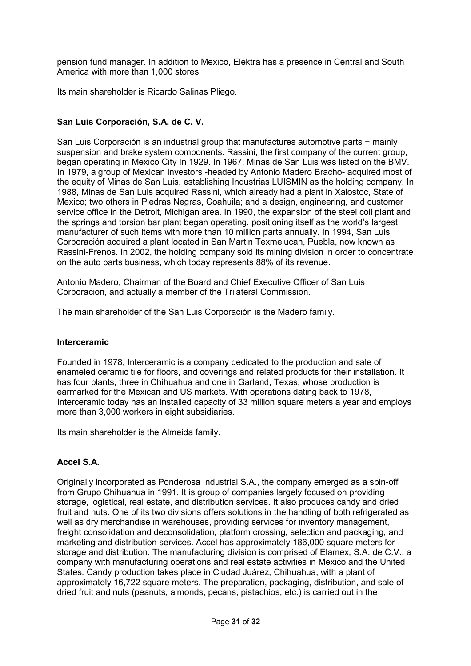pension fund manager. In addition to Mexico, Elektra has a presence in Central and South America with more than 1,000 stores.

Its main shareholder is Ricardo Salinas Pliego.

## **San Luis Corporación, S.A. de C. V.**

San Luis Corporación is an industrial group that manufactures automotive parts − mainly suspension and brake system components. Rassini, the first company of the current group, began operating in Mexico City In 1929. In 1967, Minas de San Luis was listed on the BMV. In 1979, a group of Mexican investors -headed by Antonio Madero Bracho- acquired most of the equity of Minas de San Luis, establishing Industrias LUISMIN as the holding company. In 1988, Minas de San Luis acquired Rassini, which already had a plant in Xalostoc, State of Mexico; two others in Piedras Negras, Coahuila; and a design, engineering, and customer service office in the Detroit, Michigan area. In 1990, the expansion of the steel coil plant and the springs and torsion bar plant began operating, positioning itself as the world's largest manufacturer of such items with more than 10 million parts annually. In 1994, San Luis Corporación acquired a plant located in San Martin Texmelucan, Puebla, now known as Rassini-Frenos. In 2002, the holding company sold its mining division in order to concentrate on the auto parts business, which today represents 88% of its revenue.

Antonio Madero, Chairman of the Board and Chief Executive Officer of San Luis Corporacion, and actually a member of the Trilateral Commission.

The main shareholder of the San Luis Corporación is the Madero family.

#### **Interceramic**

Founded in 1978, Interceramic is a company dedicated to the production and sale of enameled ceramic tile for floors, and coverings and related products for their installation. It has four plants, three in Chihuahua and one in Garland, Texas, whose production is earmarked for the Mexican and US markets. With operations dating back to 1978, Interceramic today has an installed capacity of 33 million square meters a year and employs more than 3,000 workers in eight subsidiaries.

Its main shareholder is the Almeida family.

## **Accel S.A.**

Originally incorporated as Ponderosa Industrial S.A., the company emerged as a spin-off from Grupo Chihuahua in 1991. It is group of companies largely focused on providing storage, logistical, real estate, and distribution services. It also produces candy and dried fruit and nuts. One of its two divisions offers solutions in the handling of both refrigerated as well as dry merchandise in warehouses, providing services for inventory management, freight consolidation and deconsolidation, platform crossing, selection and packaging, and marketing and distribution services. Accel has approximately 186,000 square meters for storage and distribution. The manufacturing division is comprised of Elamex, S.A. de C.V., a company with manufacturing operations and real estate activities in Mexico and the United States. Candy production takes place in Ciudad Juárez, Chihuahua, with a plant of approximately 16,722 square meters. The preparation, packaging, distribution, and sale of dried fruit and nuts (peanuts, almonds, pecans, pistachios, etc.) is carried out in the